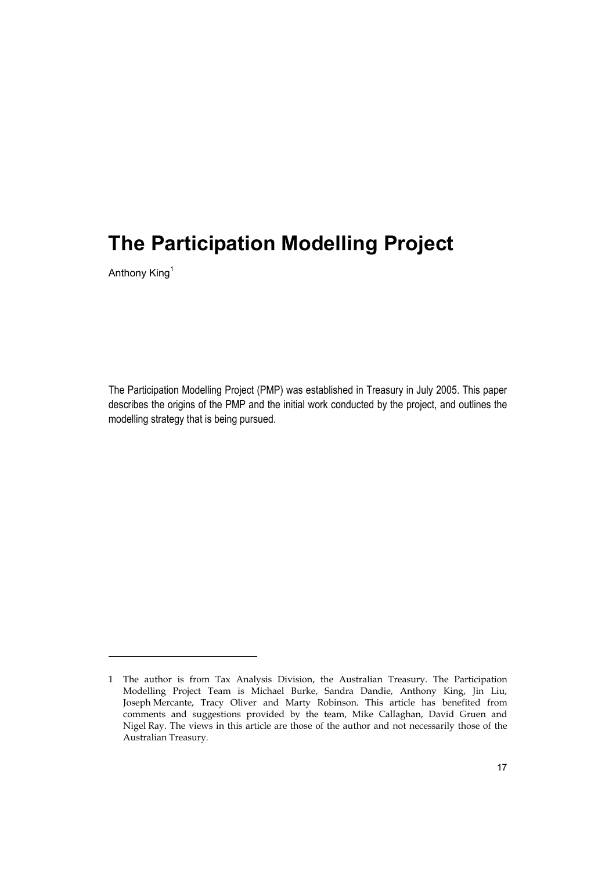Anthony King1

-

The Participation Modelling Project (PMP) was established in Treasury in July 2005. This paper describes the origins of the PMP and the initial work conducted by the project, and outlines the modelling strategy that is being pursued.

<sup>1</sup> The author is from Tax Analysis Division, the Australian Treasury. The Participation Modelling Project Team is Michael Burke, Sandra Dandie, Anthony King, Jin Liu, Joseph Mercante, Tracy Oliver and Marty Robinson. This article has benefited from comments and suggestions provided by the team, Mike Callaghan, David Gruen and Nigel Ray. The views in this article are those of the author and not necessarily those of the Australian Treasury.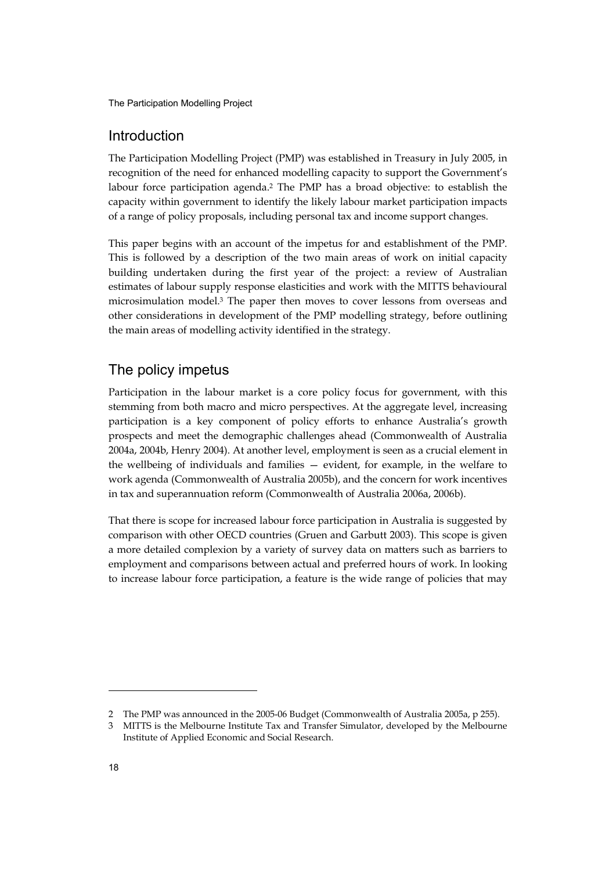# Introduction

The Participation Modelling Project (PMP) was established in Treasury in July 2005, in recognition of the need for enhanced modelling capacity to support the Government's labour force participation agenda.2 The PMP has a broad objective: to establish the capacity within government to identify the likely labour market participation impacts of a range of policy proposals, including personal tax and income support changes.

This paper begins with an account of the impetus for and establishment of the PMP. This is followed by a description of the two main areas of work on initial capacity building undertaken during the first year of the project: a review of Australian estimates of labour supply response elasticities and work with the MITTS behavioural microsimulation model.3 The paper then moves to cover lessons from overseas and other considerations in development of the PMP modelling strategy, before outlining the main areas of modelling activity identified in the strategy.

# The policy impetus

Participation in the labour market is a core policy focus for government, with this stemming from both macro and micro perspectives. At the aggregate level, increasing participation is a key component of policy efforts to enhance Australia's growth prospects and meet the demographic challenges ahead (Commonwealth of Australia 2004a, 2004b, Henry 2004). At another level, employment is seen as a crucial element in the wellbeing of individuals and families — evident, for example, in the welfare to work agenda (Commonwealth of Australia 2005b), and the concern for work incentives in tax and superannuation reform (Commonwealth of Australia 2006a, 2006b).

That there is scope for increased labour force participation in Australia is suggested by comparison with other OECD countries (Gruen and Garbutt 2003). This scope is given a more detailed complexion by a variety of survey data on matters such as barriers to employment and comparisons between actual and preferred hours of work. In looking to increase labour force participation, a feature is the wide range of policies that may

<sup>2</sup> The PMP was announced in the 2005-06 Budget (Commonwealth of Australia 2005a, p 255).

<sup>3</sup> MITTS is the Melbourne Institute Tax and Transfer Simulator, developed by the Melbourne Institute of Applied Economic and Social Research.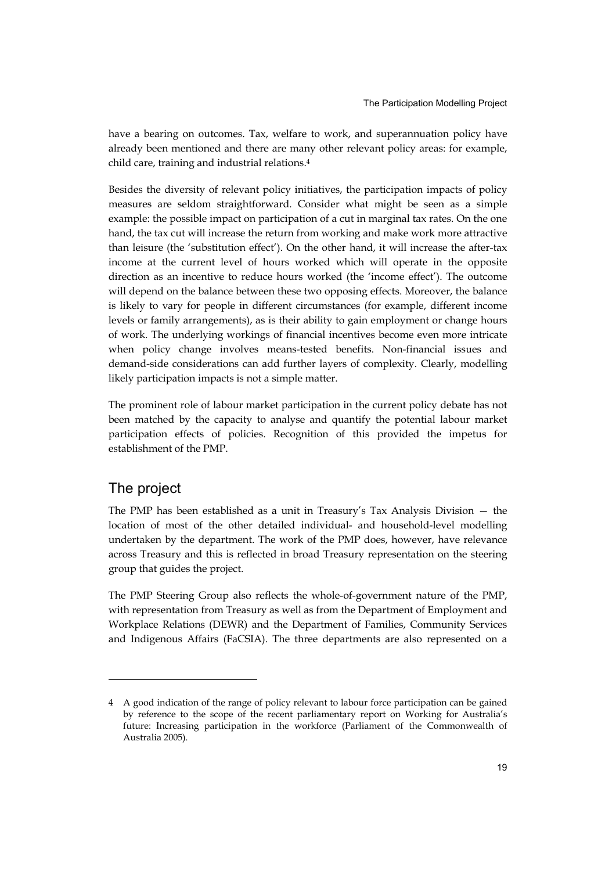have a bearing on outcomes. Tax, welfare to work, and superannuation policy have already been mentioned and there are many other relevant policy areas: for example, child care, training and industrial relations.4

Besides the diversity of relevant policy initiatives, the participation impacts of policy measures are seldom straightforward. Consider what might be seen as a simple example: the possible impact on participation of a cut in marginal tax rates. On the one hand, the tax cut will increase the return from working and make work more attractive than leisure (the 'substitution effect'). On the other hand, it will increase the after-tax income at the current level of hours worked which will operate in the opposite direction as an incentive to reduce hours worked (the 'income effect'). The outcome will depend on the balance between these two opposing effects. Moreover, the balance is likely to vary for people in different circumstances (for example, different income levels or family arrangements), as is their ability to gain employment or change hours of work. The underlying workings of financial incentives become even more intricate when policy change involves means-tested benefits. Non-financial issues and demand-side considerations can add further layers of complexity. Clearly, modelling likely participation impacts is not a simple matter.

The prominent role of labour market participation in the current policy debate has not been matched by the capacity to analyse and quantify the potential labour market participation effects of policies. Recognition of this provided the impetus for establishment of the PMP.

# The project

-

The PMP has been established as a unit in Treasury's Tax Analysis Division — the location of most of the other detailed individual- and household-level modelling undertaken by the department. The work of the PMP does, however, have relevance across Treasury and this is reflected in broad Treasury representation on the steering group that guides the project.

The PMP Steering Group also reflects the whole-of-government nature of the PMP, with representation from Treasury as well as from the Department of Employment and Workplace Relations (DEWR) and the Department of Families, Community Services and Indigenous Affairs (FaCSIA). The three departments are also represented on a

<sup>4</sup> A good indication of the range of policy relevant to labour force participation can be gained by reference to the scope of the recent parliamentary report on Working for Australia's future: Increasing participation in the workforce (Parliament of the Commonwealth of Australia 2005).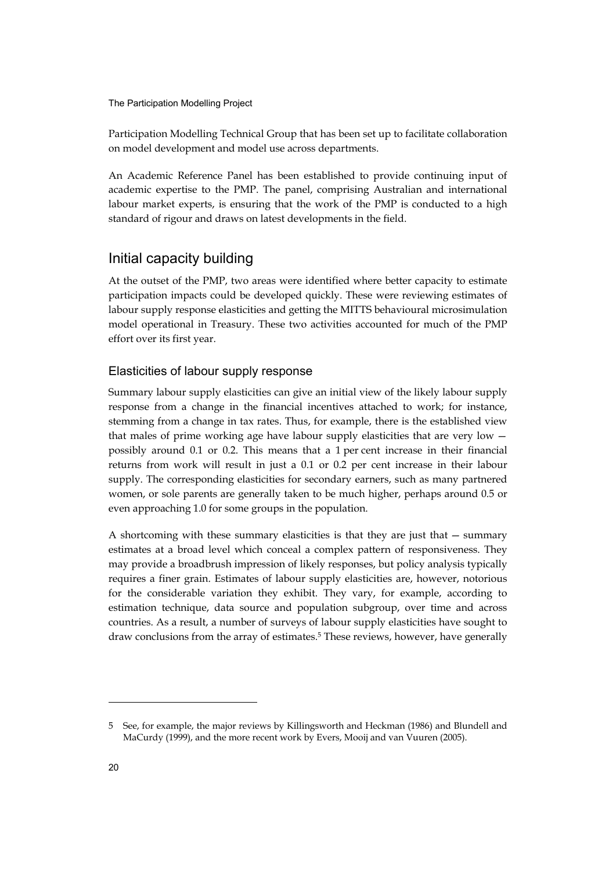Participation Modelling Technical Group that has been set up to facilitate collaboration on model development and model use across departments.

An Academic Reference Panel has been established to provide continuing input of academic expertise to the PMP. The panel, comprising Australian and international labour market experts, is ensuring that the work of the PMP is conducted to a high standard of rigour and draws on latest developments in the field.

# Initial capacity building

At the outset of the PMP, two areas were identified where better capacity to estimate participation impacts could be developed quickly. These were reviewing estimates of labour supply response elasticities and getting the MITTS behavioural microsimulation model operational in Treasury. These two activities accounted for much of the PMP effort over its first year.

## Elasticities of labour supply response

Summary labour supply elasticities can give an initial view of the likely labour supply response from a change in the financial incentives attached to work; for instance, stemming from a change in tax rates. Thus, for example, there is the established view that males of prime working age have labour supply elasticities that are very low possibly around 0.1 or 0.2. This means that a 1 per cent increase in their financial returns from work will result in just a 0.1 or 0.2 per cent increase in their labour supply. The corresponding elasticities for secondary earners, such as many partnered women, or sole parents are generally taken to be much higher, perhaps around 0.5 or even approaching 1.0 for some groups in the population.

A shortcoming with these summary elasticities is that they are just that — summary estimates at a broad level which conceal a complex pattern of responsiveness. They may provide a broadbrush impression of likely responses, but policy analysis typically requires a finer grain. Estimates of labour supply elasticities are, however, notorious for the considerable variation they exhibit. They vary, for example, according to estimation technique, data source and population subgroup, over time and across countries. As a result, a number of surveys of labour supply elasticities have sought to draw conclusions from the array of estimates.<sup>5</sup> These reviews, however, have generally

<sup>5</sup> See, for example, the major reviews by Killingsworth and Heckman (1986) and Blundell and MaCurdy (1999), and the more recent work by Evers, Mooij and van Vuuren (2005).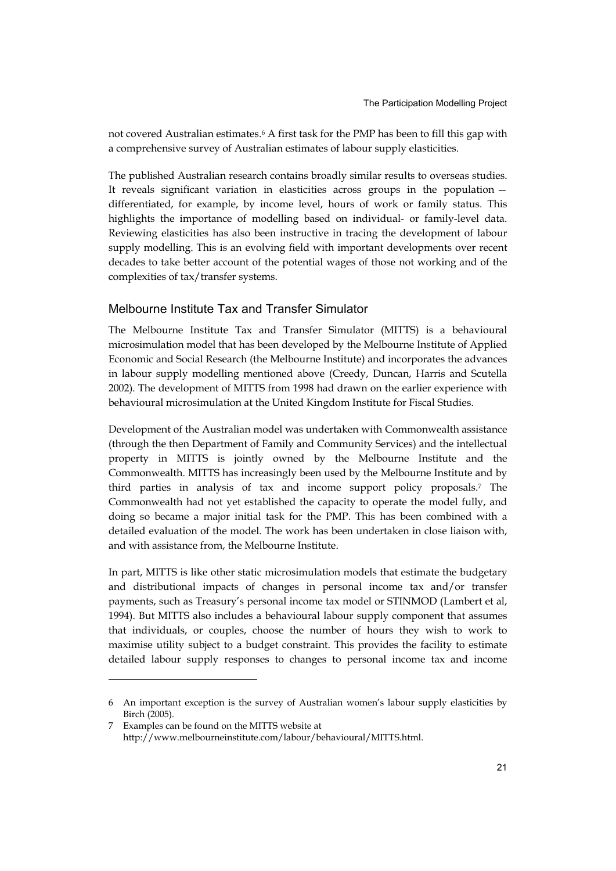not covered Australian estimates.6 A first task for the PMP has been to fill this gap with a comprehensive survey of Australian estimates of labour supply elasticities.

The published Australian research contains broadly similar results to overseas studies. It reveals significant variation in elasticities across groups in the population differentiated, for example, by income level, hours of work or family status. This highlights the importance of modelling based on individual- or family-level data. Reviewing elasticities has also been instructive in tracing the development of labour supply modelling. This is an evolving field with important developments over recent decades to take better account of the potential wages of those not working and of the complexities of tax/transfer systems.

### Melbourne Institute Tax and Transfer Simulator

The Melbourne Institute Tax and Transfer Simulator (MITTS) is a behavioural microsimulation model that has been developed by the Melbourne Institute of Applied Economic and Social Research (the Melbourne Institute) and incorporates the advances in labour supply modelling mentioned above (Creedy, Duncan, Harris and Scutella 2002). The development of MITTS from 1998 had drawn on the earlier experience with behavioural microsimulation at the United Kingdom Institute for Fiscal Studies.

Development of the Australian model was undertaken with Commonwealth assistance (through the then Department of Family and Community Services) and the intellectual property in MITTS is jointly owned by the Melbourne Institute and the Commonwealth. MITTS has increasingly been used by the Melbourne Institute and by third parties in analysis of tax and income support policy proposals.7 The Commonwealth had not yet established the capacity to operate the model fully, and doing so became a major initial task for the PMP. This has been combined with a detailed evaluation of the model. The work has been undertaken in close liaison with, and with assistance from, the Melbourne Institute.

In part, MITTS is like other static microsimulation models that estimate the budgetary and distributional impacts of changes in personal income tax and/or transfer payments, such as Treasury's personal income tax model or STINMOD (Lambert et al, 1994). But MITTS also includes a behavioural labour supply component that assumes that individuals, or couples, choose the number of hours they wish to work to maximise utility subject to a budget constraint. This provides the facility to estimate detailed labour supply responses to changes to personal income tax and income

<sup>6</sup> An important exception is the survey of Australian women's labour supply elasticities by Birch (2005).

<sup>7</sup> Examples can be found on the MITTS website at http://www.melbourneinstitute.com/labour/behavioural/MITTS.html.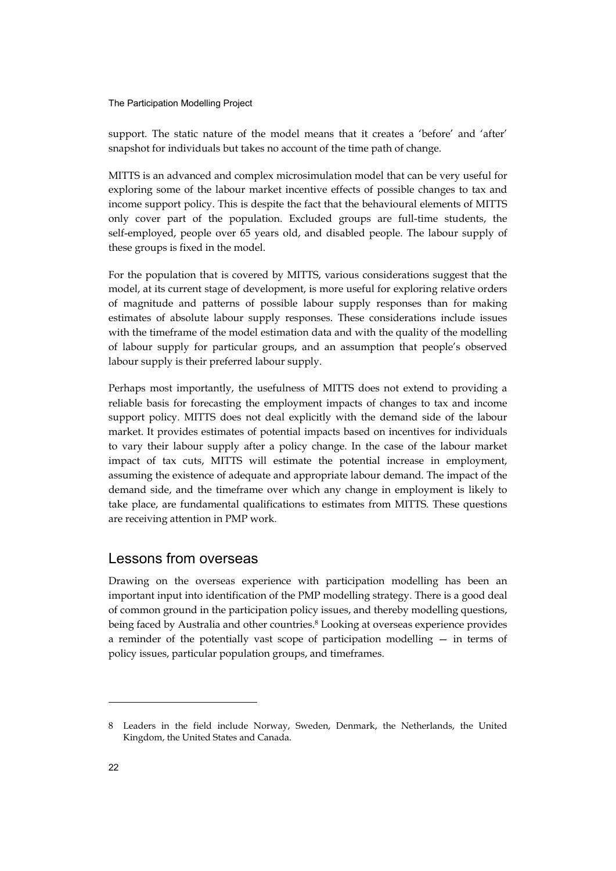support. The static nature of the model means that it creates a 'before' and 'after' snapshot for individuals but takes no account of the time path of change.

MITTS is an advanced and complex microsimulation model that can be very useful for exploring some of the labour market incentive effects of possible changes to tax and income support policy. This is despite the fact that the behavioural elements of MITTS only cover part of the population. Excluded groups are full-time students, the self-employed, people over 65 years old, and disabled people. The labour supply of these groups is fixed in the model.

For the population that is covered by MITTS, various considerations suggest that the model, at its current stage of development, is more useful for exploring relative orders of magnitude and patterns of possible labour supply responses than for making estimates of absolute labour supply responses. These considerations include issues with the timeframe of the model estimation data and with the quality of the modelling of labour supply for particular groups, and an assumption that people's observed labour supply is their preferred labour supply.

Perhaps most importantly, the usefulness of MITTS does not extend to providing a reliable basis for forecasting the employment impacts of changes to tax and income support policy. MITTS does not deal explicitly with the demand side of the labour market. It provides estimates of potential impacts based on incentives for individuals to vary their labour supply after a policy change. In the case of the labour market impact of tax cuts, MITTS will estimate the potential increase in employment, assuming the existence of adequate and appropriate labour demand. The impact of the demand side, and the timeframe over which any change in employment is likely to take place, are fundamental qualifications to estimates from MITTS. These questions are receiving attention in PMP work.

## Lessons from overseas

Drawing on the overseas experience with participation modelling has been an important input into identification of the PMP modelling strategy. There is a good deal of common ground in the participation policy issues, and thereby modelling questions, being faced by Australia and other countries.<sup>8</sup> Looking at overseas experience provides a reminder of the potentially vast scope of participation modelling — in terms of policy issues, particular population groups, and timeframes.

<sup>8</sup> Leaders in the field include Norway, Sweden, Denmark, the Netherlands, the United Kingdom, the United States and Canada.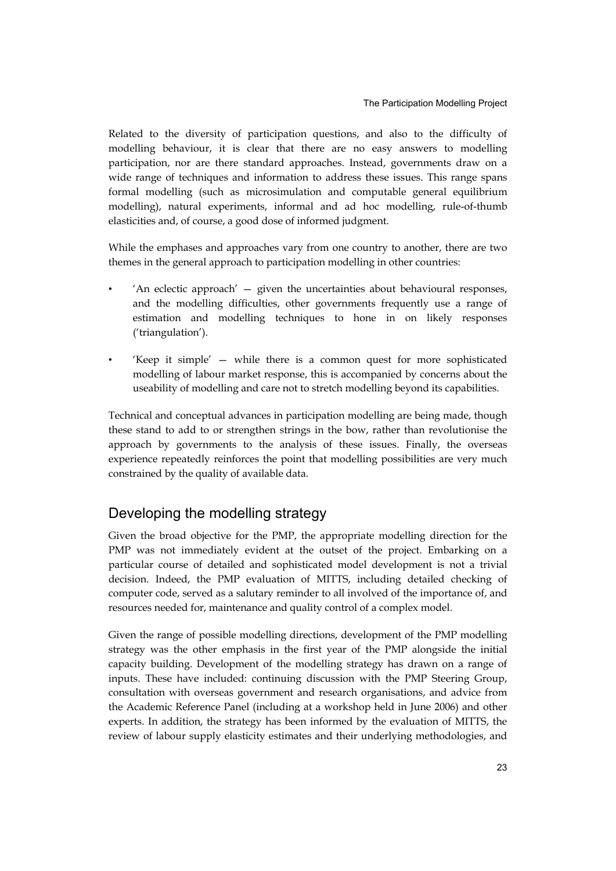Related to the diversity of participation questions, and also to the difficulty of modelling behaviour, it is clear that there are no easy answers to modelling participation, nor are there standard approaches. Instead, governments draw on a wide range of techniques and information to address these issues. This range spans formal modelling (such as microsimulation and computable general equilibrium modelling), natural experiments, informal and ad hoc modelling, rule-of-thumb elasticities and, of course, a good dose of informed judgment.

While the emphases and approaches vary from one country to another, there are two themes in the general approach to participation modelling in other countries:

- 'An eclectic approach' given the uncertainties about behavioural responses, and the modelling difficulties, other governments frequently use a range of estimation and modelling techniques to hone in on likely responses ('triangulation').
- 'Keep it simple' while there is a common quest for more sophisticated modelling of labour market response, this is accompanied by concerns about the useability of modelling and care not to stretch modelling beyond its capabilities.

Technical and conceptual advances in participation modelling are being made, though these stand to add to or strengthen strings in the bow, rather than revolutionise the approach by governments to the analysis of these issues. Finally, the overseas experience repeatedly reinforces the point that modelling possibilities are very much constrained by the quality of available data.

# Developing the modelling strategy

Given the broad objective for the PMP, the appropriate modelling direction for the PMP was not immediately evident at the outset of the project. Embarking on a particular course of detailed and sophisticated model development is not a trivial decision. Indeed, the PMP evaluation of MITTS, including detailed checking of computer code, served as a salutary reminder to all involved of the importance of, and resources needed for, maintenance and quality control of a complex model.

Given the range of possible modelling directions, development of the PMP modelling strategy was the other emphasis in the first year of the PMP alongside the initial capacity building. Development of the modelling strategy has drawn on a range of inputs. These have included: continuing discussion with the PMP Steering Group, consultation with overseas government and research organisations, and advice from the Academic Reference Panel (including at a workshop held in June 2006) and other experts. In addition, the strategy has been informed by the evaluation of MITTS, the review of labour supply elasticity estimates and their underlying methodologies, and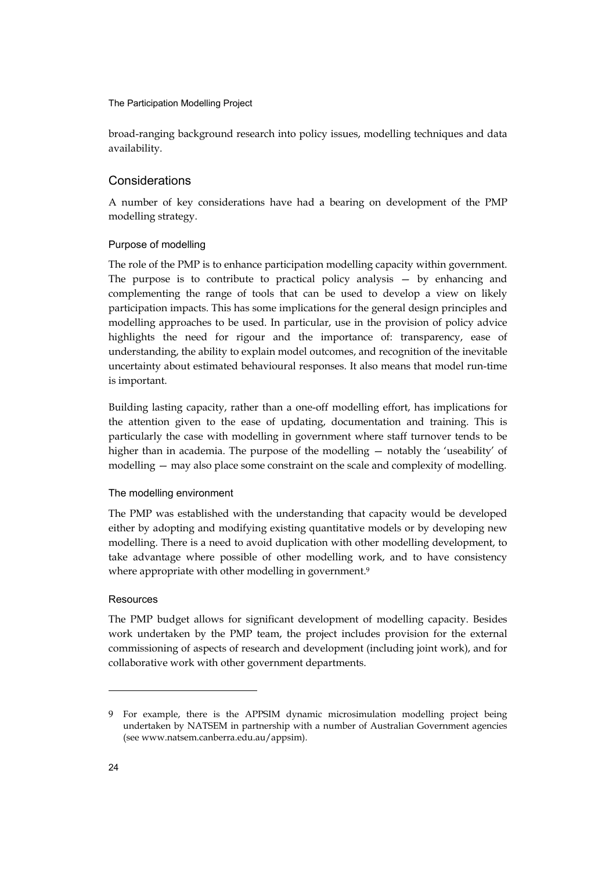broad-ranging background research into policy issues, modelling techniques and data availability.

### Considerations

A number of key considerations have had a bearing on development of the PMP modelling strategy.

#### Purpose of modelling

The role of the PMP is to enhance participation modelling capacity within government. The purpose is to contribute to practical policy analysis — by enhancing and complementing the range of tools that can be used to develop a view on likely participation impacts. This has some implications for the general design principles and modelling approaches to be used. In particular, use in the provision of policy advice highlights the need for rigour and the importance of: transparency, ease of understanding, the ability to explain model outcomes, and recognition of the inevitable uncertainty about estimated behavioural responses. It also means that model run-time is important.

Building lasting capacity, rather than a one-off modelling effort, has implications for the attention given to the ease of updating, documentation and training. This is particularly the case with modelling in government where staff turnover tends to be higher than in academia. The purpose of the modelling — notably the 'useability' of modelling — may also place some constraint on the scale and complexity of modelling.

#### The modelling environment

The PMP was established with the understanding that capacity would be developed either by adopting and modifying existing quantitative models or by developing new modelling. There is a need to avoid duplication with other modelling development, to take advantage where possible of other modelling work, and to have consistency where appropriate with other modelling in government.<sup>9</sup>

#### Resources

The PMP budget allows for significant development of modelling capacity. Besides work undertaken by the PMP team, the project includes provision for the external commissioning of aspects of research and development (including joint work), and for collaborative work with other government departments.

<sup>9</sup> For example, there is the APPSIM dynamic microsimulation modelling project being undertaken by NATSEM in partnership with a number of Australian Government agencies (see www.natsem.canberra.edu.au/appsim).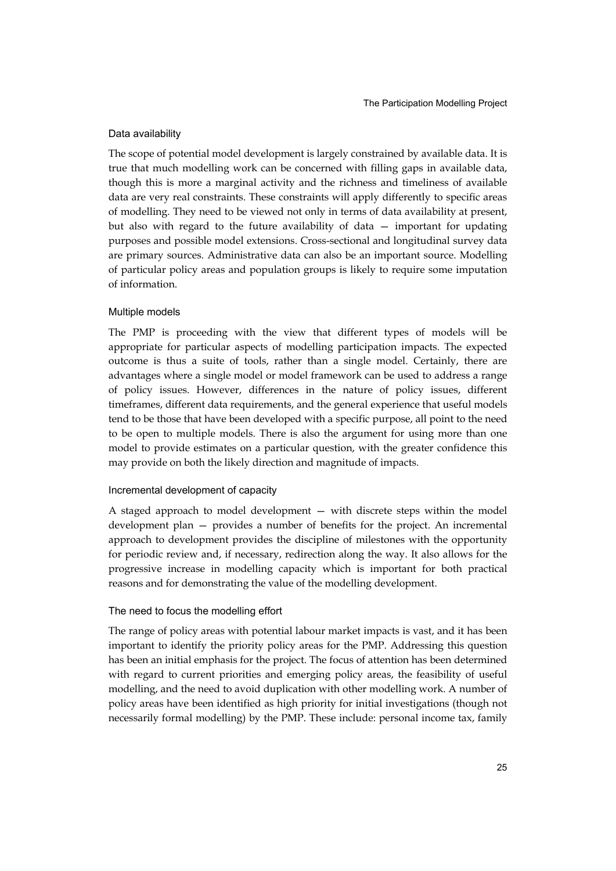#### Data availability

The scope of potential model development is largely constrained by available data. It is true that much modelling work can be concerned with filling gaps in available data, though this is more a marginal activity and the richness and timeliness of available data are very real constraints. These constraints will apply differently to specific areas of modelling. They need to be viewed not only in terms of data availability at present, but also with regard to the future availability of data — important for updating purposes and possible model extensions. Cross-sectional and longitudinal survey data are primary sources. Administrative data can also be an important source. Modelling of particular policy areas and population groups is likely to require some imputation of information.

#### Multiple models

The PMP is proceeding with the view that different types of models will be appropriate for particular aspects of modelling participation impacts. The expected outcome is thus a suite of tools, rather than a single model. Certainly, there are advantages where a single model or model framework can be used to address a range of policy issues. However, differences in the nature of policy issues, different timeframes, different data requirements, and the general experience that useful models tend to be those that have been developed with a specific purpose, all point to the need to be open to multiple models. There is also the argument for using more than one model to provide estimates on a particular question, with the greater confidence this may provide on both the likely direction and magnitude of impacts.

#### Incremental development of capacity

A staged approach to model development — with discrete steps within the model development plan — provides a number of benefits for the project. An incremental approach to development provides the discipline of milestones with the opportunity for periodic review and, if necessary, redirection along the way. It also allows for the progressive increase in modelling capacity which is important for both practical reasons and for demonstrating the value of the modelling development.

#### The need to focus the modelling effort

The range of policy areas with potential labour market impacts is vast, and it has been important to identify the priority policy areas for the PMP. Addressing this question has been an initial emphasis for the project. The focus of attention has been determined with regard to current priorities and emerging policy areas, the feasibility of useful modelling, and the need to avoid duplication with other modelling work. A number of policy areas have been identified as high priority for initial investigations (though not necessarily formal modelling) by the PMP. These include: personal income tax, family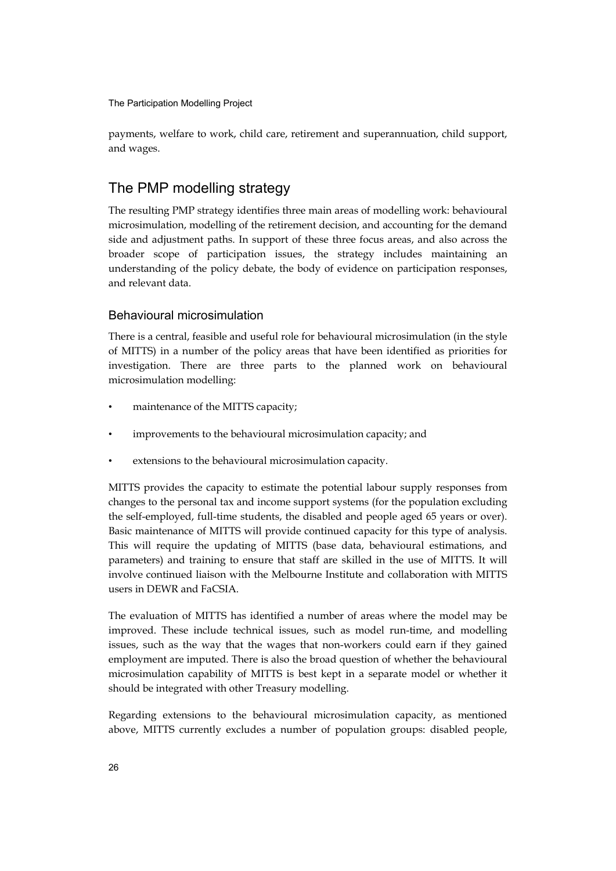payments, welfare to work, child care, retirement and superannuation, child support, and wages.

# The PMP modelling strategy

The resulting PMP strategy identifies three main areas of modelling work: behavioural microsimulation, modelling of the retirement decision, and accounting for the demand side and adjustment paths. In support of these three focus areas, and also across the broader scope of participation issues, the strategy includes maintaining an understanding of the policy debate, the body of evidence on participation responses, and relevant data.

### Behavioural microsimulation

There is a central, feasible and useful role for behavioural microsimulation (in the style of MITTS) in a number of the policy areas that have been identified as priorities for investigation. There are three parts to the planned work on behavioural microsimulation modelling:

- maintenance of the MITTS capacity;
- improvements to the behavioural microsimulation capacity; and
- extensions to the behavioural microsimulation capacity.

MITTS provides the capacity to estimate the potential labour supply responses from changes to the personal tax and income support systems (for the population excluding the self-employed, full-time students, the disabled and people aged 65 years or over). Basic maintenance of MITTS will provide continued capacity for this type of analysis. This will require the updating of MITTS (base data, behavioural estimations, and parameters) and training to ensure that staff are skilled in the use of MITTS. It will involve continued liaison with the Melbourne Institute and collaboration with MITTS users in DEWR and FaCSIA.

The evaluation of MITTS has identified a number of areas where the model may be improved. These include technical issues, such as model run-time, and modelling issues, such as the way that the wages that non-workers could earn if they gained employment are imputed. There is also the broad question of whether the behavioural microsimulation capability of MITTS is best kept in a separate model or whether it should be integrated with other Treasury modelling.

Regarding extensions to the behavioural microsimulation capacity, as mentioned above, MITTS currently excludes a number of population groups: disabled people,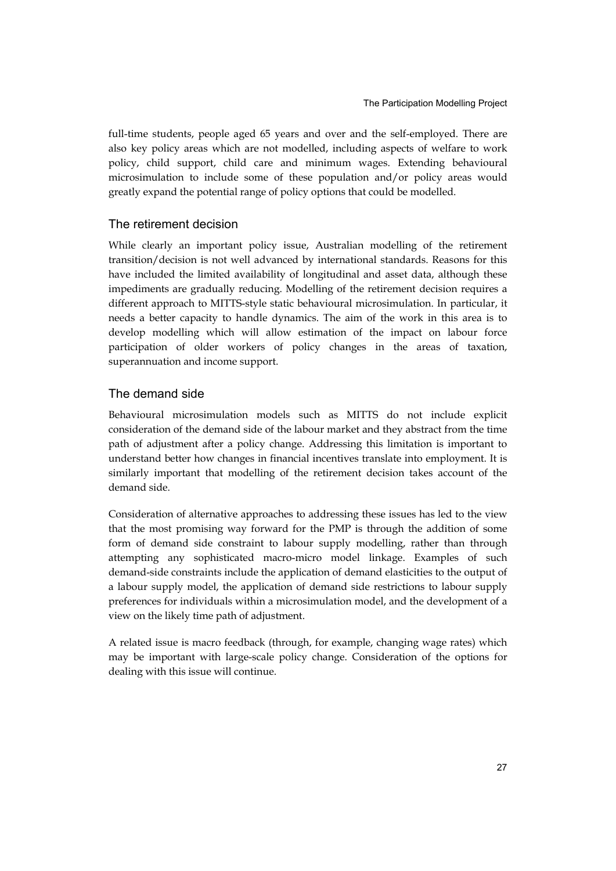full-time students, people aged 65 years and over and the self-employed. There are also key policy areas which are not modelled, including aspects of welfare to work policy, child support, child care and minimum wages. Extending behavioural microsimulation to include some of these population and/or policy areas would greatly expand the potential range of policy options that could be modelled.

### The retirement decision

While clearly an important policy issue, Australian modelling of the retirement transition/decision is not well advanced by international standards. Reasons for this have included the limited availability of longitudinal and asset data, although these impediments are gradually reducing. Modelling of the retirement decision requires a different approach to MITTS-style static behavioural microsimulation. In particular, it needs a better capacity to handle dynamics. The aim of the work in this area is to develop modelling which will allow estimation of the impact on labour force participation of older workers of policy changes in the areas of taxation, superannuation and income support.

### The demand side

Behavioural microsimulation models such as MITTS do not include explicit consideration of the demand side of the labour market and they abstract from the time path of adjustment after a policy change. Addressing this limitation is important to understand better how changes in financial incentives translate into employment. It is similarly important that modelling of the retirement decision takes account of the demand side.

Consideration of alternative approaches to addressing these issues has led to the view that the most promising way forward for the PMP is through the addition of some form of demand side constraint to labour supply modelling, rather than through attempting any sophisticated macro-micro model linkage. Examples of such demand-side constraints include the application of demand elasticities to the output of a labour supply model, the application of demand side restrictions to labour supply preferences for individuals within a microsimulation model, and the development of a view on the likely time path of adjustment.

A related issue is macro feedback (through, for example, changing wage rates) which may be important with large-scale policy change. Consideration of the options for dealing with this issue will continue.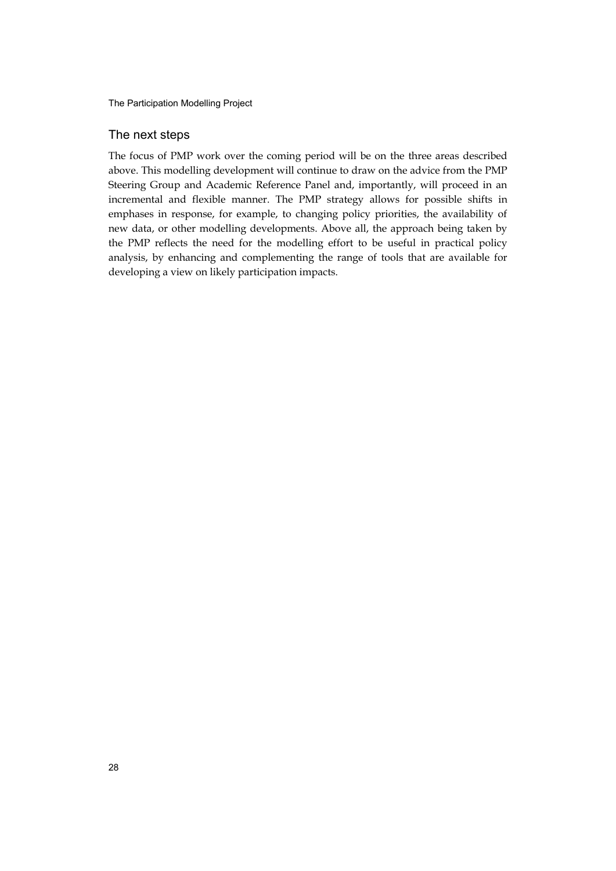### The next steps

The focus of PMP work over the coming period will be on the three areas described above. This modelling development will continue to draw on the advice from the PMP Steering Group and Academic Reference Panel and, importantly, will proceed in an incremental and flexible manner. The PMP strategy allows for possible shifts in emphases in response, for example, to changing policy priorities, the availability of new data, or other modelling developments. Above all, the approach being taken by the PMP reflects the need for the modelling effort to be useful in practical policy analysis, by enhancing and complementing the range of tools that are available for developing a view on likely participation impacts.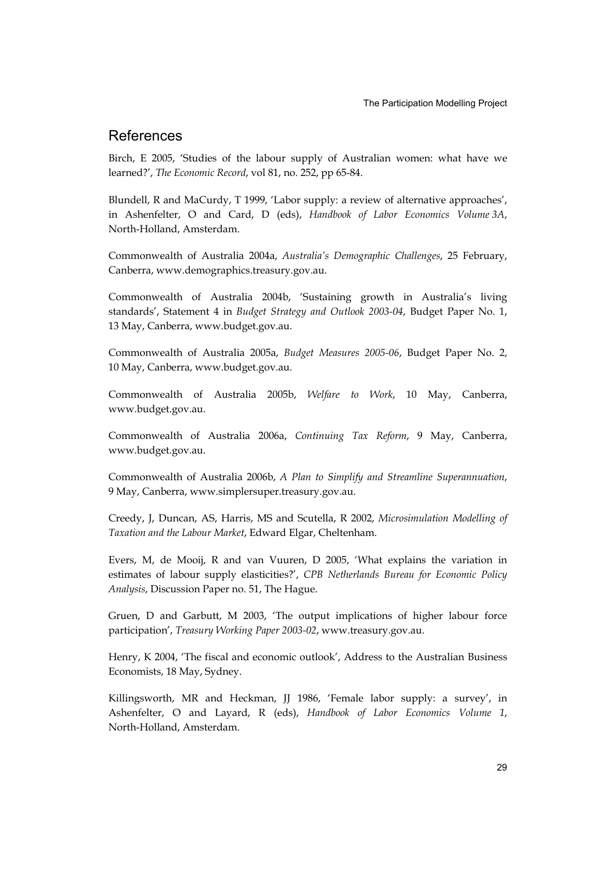# References

Birch, E 2005, 'Studies of the labour supply of Australian women: what have we learned?', *The Economic Record*, vol 81, no. 252, pp 65-84.

Blundell, R and MaCurdy, T 1999, 'Labor supply: a review of alternative approaches', in Ashenfelter, O and Card, D (eds), *Handbook of Labor Economics Volume 3A*, North-Holland, Amsterdam.

Commonwealth of Australia 2004a, *Australia's Demographic Challenges*, 25 February, Canberra, www.demographics.treasury.gov.au.

Commonwealth of Australia 2004b, 'Sustaining growth in Australia's living standards', Statement 4 in *Budget Strategy and Outlook 2003-04*, Budget Paper No. 1, 13 May, Canberra, www.budget.gov.au.

Commonwealth of Australia 2005a, *Budget Measures 2005-06*, Budget Paper No. 2, 10 May, Canberra, www.budget.gov.au.

Commonwealth of Australia 2005b, *Welfare to Work*, 10 May, Canberra, www.budget.gov.au.

Commonwealth of Australia 2006a, *Continuing Tax Reform*, 9 May, Canberra, www.budget.gov.au.

Commonwealth of Australia 2006b, *A Plan to Simplify and Streamline Superannuation*, 9 May, Canberra, www.simplersuper.treasury.gov.au.

Creedy, J, Duncan, AS, Harris, MS and Scutella, R 2002, *Microsimulation Modelling of Taxation and the Labour Market*, Edward Elgar, Cheltenham.

Evers, M, de Mooij, R and van Vuuren, D 2005, 'What explains the variation in estimates of labour supply elasticities?', *CPB Netherlands Bureau for Economic Policy Analysis*, Discussion Paper no. 51, The Hague.

Gruen, D and Garbutt, M 2003, 'The output implications of higher labour force participation', *Treasury Working Paper 2003-02*, www.treasury.gov.au.

Henry, K 2004, 'The fiscal and economic outlook', Address to the Australian Business Economists, 18 May, Sydney.

Killingsworth, MR and Heckman, JJ 1986, 'Female labor supply: a survey', in Ashenfelter, O and Layard, R (eds), *Handbook of Labor Economics Volume 1*, North-Holland, Amsterdam.